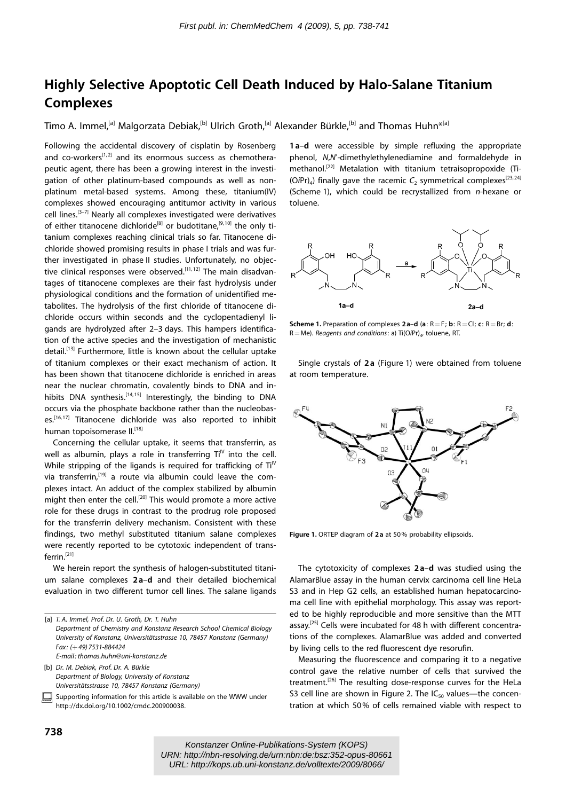## Highly Selective Apoptotic Cell Death Induced by Halo-Salane Titanium Complexes

Timo A. Immel,<sup>[a]</sup> Malgorzata Debiak,<sup>[b]</sup> Ulrich Groth,<sup>[a]</sup> Alexander Bürkle,<sup>[b]</sup> and Thomas Huhn<sup>\*[a]</sup>

Following the accidental discovery of cisplatin by Rosenberg and co-workers<sup>[1,2]</sup> and its enormous success as chemotherapeutic agent, there has been a growing interest in the investigation of other platinum-based compounds as well as nonplatinum metal-based systems. Among these, titanium(IV) complexes showed encouraging antitumor activity in various cell lines.[3–7] Nearly all complexes investigated were derivatives of either titanocene dichloride<sup>[8]</sup> or budotitane,<sup>[9,10]</sup> the only titanium complexes reaching clinical trials so far. Titanocene dichloride showed promising results in phase I trials and was further investigated in phase II studies. Unfortunately, no objective clinical responses were observed.<sup>[11,12]</sup> The main disadvantages of titanocene complexes are their fast hydrolysis under physiological conditions and the formation of unidentified metabolites. The hydrolysis of the first chloride of titanocene dichloride occurs within seconds and the cyclopentadienyl ligands are hydrolyzed after 2–3 days. This hampers identification of the active species and the investigation of mechanistic detail.<sup>[13]</sup> Furthermore, little is known about the cellular uptake of titanium complexes or their exact mechanism of action. It has been shown that titanocene dichloride is enriched in areas near the nuclear chromatin, covalently binds to DNA and inhibits DNA synthesis.<sup>[14,15]</sup> Interestingly, the binding to DNA occurs via the phosphate backbone rather than the nucleobases.[16, 17] Titanocene dichloride was also reported to inhibit human topoisomerase II.[18]

Concerning the cellular uptake, it seems that transferrin, as well as albumin, plays a role in transferring  $Ti<sup>N</sup>$  into the cell. While stripping of the ligands is required for trafficking of  $Ti<sup>IV</sup>$ via transferrin,<sup>[19]</sup> a route via albumin could leave the complexes intact. An adduct of the complex stabilized by albumin might then enter the cell.<sup>[20]</sup> This would promote a more active role for these drugs in contrast to the prodrug role proposed for the transferrin delivery mechanism. Consistent with these findings, two methyl substituted titanium salane complexes were recently reported to be cytotoxic independent of transferrin.<sup>[21]</sup>

We herein report the synthesis of halogen-substituted titanium salane complexes 2 a–d and their detailed biochemical evaluation in two different tumor cell lines. The salane ligands

[b] Dr. M. Debiak, Prof. Dr. A. Bürkle Department of Biology, University of Konstanz Universitätsstrasse 10, 78457 Konstanz (Germany)

Supporting information for this article is available on the WWW under http://dx.doi.org/10.1002/cmdc.200900038.

1a-d were accessible by simple refluxing the appropriate phenol, N,N'-dimethylethylenediamine and formaldehyde in methanol.[22] Metalation with titanium tetraisopropoxide (Ti- (OiPr)<sub>4</sub>) finally gave the racemic  $C_2$  symmetrical complexes<sup>[23, 24]</sup> (Scheme 1), which could be recrystallized from n-hexane or toluene.



**Scheme 1.** Preparation of complexes  $2a-d$  (a:  $R = F$ ; b:  $R = Cl$ ; c:  $R = Br$ ; d:  $R=Me$ ). Reagents and conditions: a) Ti(OiPr)<sub>4</sub>, toluene, RT.

Single crystals of 2a (Figure 1) were obtained from toluene at room temperature.



Figure 1. ORTEP diagram of 2 a at 50% probability ellipsoids.

The cytotoxicity of complexes 2 a–d was studied using the AlamarBlue assay in the human cervix carcinoma cell line HeLa S3 and in Hep G2 cells, an established human hepatocarcinoma cell line with epithelial morphology. This assay was reported to be highly reproducible and more sensitive than the MTT assay.<sup>[25]</sup> Cells were incubated for 48 h with different concentrations of the complexes. AlamarBlue was added and converted by living cells to the red fluorescent dye resorufin.

Measuring the fluorescence and comparing it to a negative control gave the relative number of cells that survived the treatment.<sup>[26]</sup> The resulting dose-response curves for the HeLa S3 cell line are shown in Figure 2. The  $IC_{50}$  values—the concentration at which 50% of cells remained viable with respect to

<sup>[</sup>a] T. A. Immel, Prof. Dr. U. Groth, Dr. T. Huhn Department of Chemistry and Konstanz Research School Chemical Biology University of Konstanz, Universitätsstrasse 10, 78457 Konstanz (Germany) Fax: (+49) 7531-884424 E-mail: thomas.huhn@uni-konstanz.de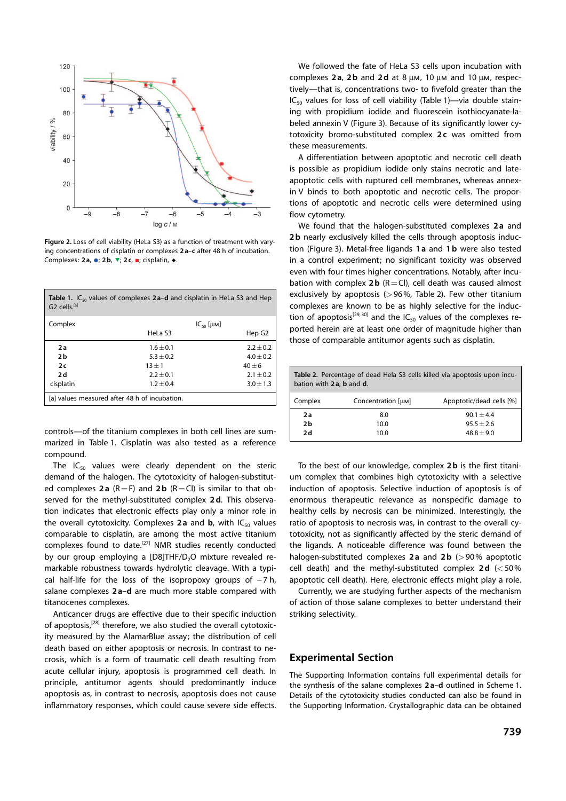

Figure 2. Loss of cell viability (HeLa S3) as a function of treatment with varying concentrations of cisplatin or complexes 2 a–c after 48 h of incubation. Complexes:  $2a$ ,  $\bullet$ ;  $2b$ ,  $\nabla$ ;  $2c$ ,  $\bullet$ ; cisplatin,  $\bullet$ 

| <b>Table 1.</b> IC <sub>50</sub> values of complexes $2a-d$ and cisplatin in HeLa S3 and Hep<br>G <sub>2</sub> cells. <sup>[a]</sup> |                    |                    |  |
|--------------------------------------------------------------------------------------------------------------------------------------|--------------------|--------------------|--|
| Complex                                                                                                                              | $IC_{50}$ [ $µM$ ] |                    |  |
|                                                                                                                                      | HeLa S3            | Hep G <sub>2</sub> |  |
| 2а                                                                                                                                   | $1.6 + 0.1$        | $2.2 \pm 0.2$      |  |
| 2b                                                                                                                                   | $5.3 + 0.2$        | $4.0 \pm 0.2$      |  |
| 2c                                                                                                                                   | $13 + 1$           | $40 + 6$           |  |
| 2d                                                                                                                                   | $2.2 + 0.1$        | $2.1 \pm 0.2$      |  |
| cisplatin                                                                                                                            | $1.2 + 0.4$        | $3.0 \pm 1.3$      |  |
| [a] values measured after 48 h of incubation.                                                                                        |                    |                    |  |

controls—of the titanium complexes in both cell lines are summarized in Table 1. Cisplatin was also tested as a reference compound.

The  $IC_{50}$  values were clearly dependent on the steric demand of the halogen. The cytotoxicity of halogen-substituted complexes 2a (R=F) and 2b (R=Cl) is similar to that observed for the methyl-substituted complex 2 d. This observation indicates that electronic effects play only a minor role in the overall cytotoxicity. Complexes  $2a$  and  $b$ , with  $IC_{50}$  values comparable to cisplatin, are among the most active titanium complexes found to date.[27] NMR studies recently conducted by our group employing a  $[D8]THF/D<sub>2</sub>O$  mixture revealed remarkable robustness towards hydrolytic cleavage. With a typical half-life for the loss of the isopropoxy groups of  $\sim$ 7 h, salane complexes 2a-d are much more stable compared with titanocenes complexes.

Anticancer drugs are effective due to their specific induction of apoptosis,<sup>[28]</sup> therefore, we also studied the overall cytotoxicity measured by the AlamarBlue assay; the distribution of cell death based on either apoptosis or necrosis. In contrast to necrosis, which is a form of traumatic cell death resulting from acute cellular injury, apoptosis is programmed cell death. In principle, antitumor agents should predominantly induce apoptosis as, in contrast to necrosis, apoptosis does not cause inflammatory responses, which could cause severe side effects.

We followed the fate of HeLa S3 cells upon incubation with complexes 2a, 2b and 2d at 8  $\mu$ m, 10  $\mu$ m and 10  $\mu$ m, respectively—that is, concentrations two- to fivefold greater than the  $IC_{50}$  values for loss of cell viability (Table 1)—via double staining with propidium iodide and fluorescein isothiocyanate-labeled annexin V (Figure 3). Because of its significantly lower cytotoxicity bromo-substituted complex 2c was omitted from these measurements.

A differentiation between apoptotic and necrotic cell death is possible as propidium iodide only stains necrotic and lateapoptotic cells with ruptured cell membranes, whereas annexin V binds to both apoptotic and necrotic cells. The proportions of apoptotic and necrotic cells were determined using flow cytometry.

We found that the halogen-substituted complexes 2a and 2**b** nearly exclusively killed the cells through apoptosis induction (Figure 3). Metal-free ligands 1 a and 1 b were also tested in a control experiment; no significant toxicity was observed even with four times higher concentrations. Notably, after incubation with complex 2**b** ( $R = Cl$ ), cell death was caused almost exclusively by apoptosis ( $>96\%$ , Table 2). Few other titanium complexes are known to be as highly selective for the induction of apoptosis<sup>[29, 30]</sup> and the IC<sub>50</sub> values of the complexes reported herein are at least one order of magnitude higher than those of comparable antitumor agents such as cisplatin.

| Table 2. Percentage of dead Hela S3 cells killed via apoptosis upon incu-<br>bation with 2a, b and d. |                    |                          |  |
|-------------------------------------------------------------------------------------------------------|--------------------|--------------------------|--|
| Complex                                                                                               | Concentration [µM] | Apoptotic/dead cells [%] |  |
| 2a                                                                                                    | 8.0                | $90.1 + 4.4$             |  |
| 2 <sub>b</sub>                                                                                        | 10.0               | $95.5 + 2.6$             |  |
| 2 d                                                                                                   | 10.0               | $48.8 + 9.0$             |  |

To the best of our knowledge, complex 2b is the first titanium complex that combines high cytotoxicity with a selective induction of apoptosis. Selective induction of apoptosis is of enormous therapeutic relevance as nonspecific damage to healthy cells by necrosis can be minimized. Interestingly, the ratio of apoptosis to necrosis was, in contrast to the overall cytotoxicity, not as significantly affected by the steric demand of the ligands. A noticeable difference was found between the halogen-substituted complexes 2a and 2b ( $>90\%$  apoptotic cell death) and the methyl-substituted complex  $2d \le 50\%$ apoptotic cell death). Here, electronic effects might play a role.

Currently, we are studying further aspects of the mechanism of action of those salane complexes to better understand their striking selectivity.

## Experimental Section

The Supporting Information contains full experimental details for the synthesis of the salane complexes 2 a–d outlined in Scheme 1. Details of the cytotoxicity studies conducted can also be found in the Supporting Information. Crystallographic data can be obtained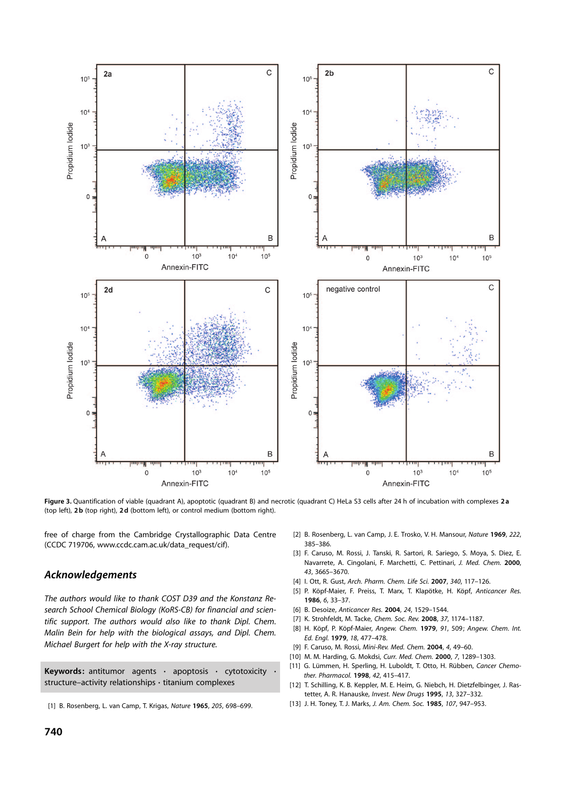

Figure 3. Quantification of viable (quadrant A), apoptotic (quadrant B) and necrotic (quadrant C) HeLa S3 cells after 24 h of incubation with complexes 2a (top left), 2 b (top right), 2 d (bottom left), or control medium (bottom right).

free of charge from the Cambridge Crystallographic Data Centre (CCDC 719706, www.ccdc.cam.ac.uk/data\_request/cif).

## Acknowledgements

The authors would like to thank COST D39 and the Konstanz Research School Chemical Biology (KoRS-CB) for financial and scientific support. The authors would also like to thank Dipl. Chem. Malin Bein for help with the biological assays, and Dipl. Chem. Michael Burgert for help with the X-ray structure.

Keywords: antitumor agents  $\cdot$  apoptosis  $\cdot$  cytotoxicity structure–activity relationships · titanium complexes

- [2] B. Rosenberg, L. van Camp, J. E. Trosko, V. H. Mansour, [Nature](http://dx.doi.org/10.1038/222385a0) 1969, 222, [385–386.](http://dx.doi.org/10.1038/222385a0)
- [3] F. Caruso, M. Rossi, J. Tanski, R. Sartori, R. Sariego, S. Moya, S. Diez, E. Navarrete, A. Cingolani, F. Marchetti, C. Pettinari, [J. Med. Chem.](http://dx.doi.org/10.1021/jm990539b) 2000, 43[, 3665–3670.](http://dx.doi.org/10.1021/jm990539b)
- [4] I. Ott, R. Gust, [Arch. Pharm. Chem. Life Sci.](http://dx.doi.org/10.1002/ardp.200600151) 2007, 340, 117-126.
- [5] P. Köpf-Maier, F. Preiss, T. Marx, T. Klapötke, H. Köpf, Anticancer Res. 1986, 6, 33–37.
- [6] B. Desoize, Anticancer Res. 2004, 24, 1529–1544.
- [7] K. Strohfeldt, M. Tacke, [Chem. Soc. Rev.](http://dx.doi.org/10.1039/b707310k) 2008, 37, 1174-1187.
- [8] H. Köpf, P. Köpf-Maier, [Angew. Chem.](http://dx.doi.org/10.1002/ange.19790910620) 1979, 91, 509; [Angew. Chem. Int.](http://dx.doi.org/10.1002/anie.197904771) Ed. Engl. 1979, 18[, 477–478](http://dx.doi.org/10.1002/anie.197904771).
- [9] F. Caruso, M. Rossi, [Mini-Rev. Med. Chem.](http://dx.doi.org/10.2174/1389557043487565) 2004, 4, 49–60.
- [10] M. M. Harding, G. Mokdsi, Curr. Med. Chem. 2000, 7, 1289-1303.
- [11] G. Lümmen, H. Sperling, H. Luboldt, T. Otto, H. Rübben, Cancer Chemother. Pharmacol. 1998, 42, 415–417.
- [12] T. Schilling, K. B. Keppler, M. E. Heim, G. Niebch, H. Dietzfelbinger, J. Rastetter, A. R. Hanauske, [Invest. New Drugs](http://dx.doi.org/10.1007/BF00873139) 1995, 13, 327–332.
- [13] J. H. Toney, T. J. Marks, [J. Am. Chem. Soc.](http://dx.doi.org/10.1021/ja00290a033) 1985, 107, 947-953.

<sup>[1]</sup> B. Rosenberg, L. van Camp, T. Krigas, Nature 1965, 205, 698-699.